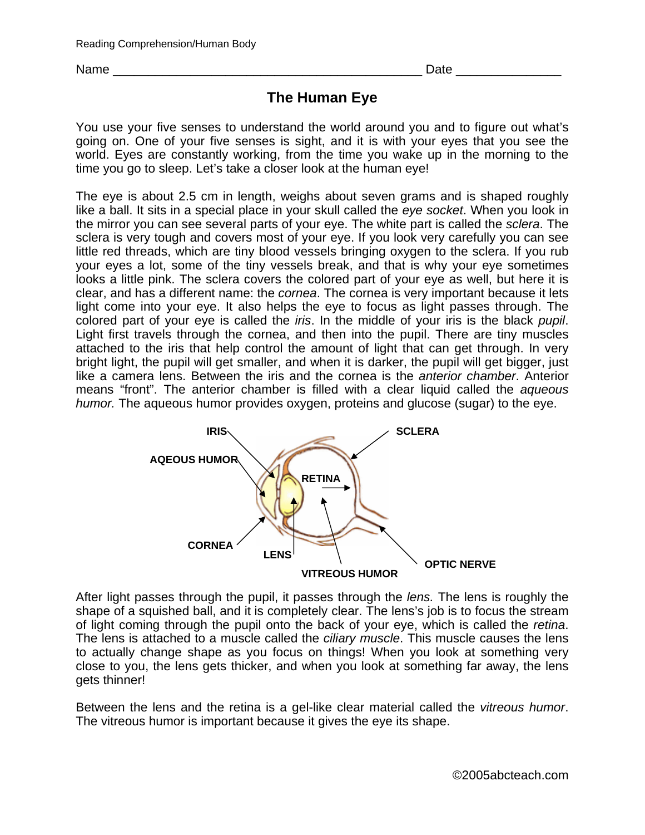Name \_\_\_\_\_\_\_\_\_\_\_\_\_\_\_\_\_\_\_\_\_\_\_\_\_\_\_\_\_\_\_\_\_\_\_\_\_\_\_\_\_\_\_\_ Date \_\_\_\_\_\_\_\_\_\_\_\_\_\_\_

## **The Human Eye**

You use your five senses to understand the world around you and to figure out what's going on. One of your five senses is sight, and it is with your eyes that you see the world. Eyes are constantly working, from the time you wake up in the morning to the time you go to sleep. Let's take a closer look at the human eye!

The eye is about 2.5 cm in length, weighs about seven grams and is shaped roughly like a ball. It sits in a special place in your skull called the *eye socket*. When you look in the mirror you can see several parts of your eye. The white part is called the *sclera*. The sclera is very tough and covers most of your eye. If you look very carefully you can see little red threads, which are tiny blood vessels bringing oxygen to the sclera. If you rub your eyes a lot, some of the tiny vessels break, and that is why your eye sometimes looks a little pink. The sclera covers the colored part of your eye as well, but here it is clear, and has a different name: the *cornea*. The cornea is very important because it lets light come into your eye. It also helps the eye to focus as light passes through. The colored part of your eye is called the *iris*. In the middle of your iris is the black *pupil*. Light first travels through the cornea, and then into the pupil. There are tiny muscles attached to the iris that help control the amount of light that can get through. In very bright light, the pupil will get smaller, and when it is darker, the pupil will get bigger, just like a camera lens. Between the iris and the cornea is the *anterior chamber*. Anterior means "front". The anterior chamber is filled with a clear liquid called the *aqueous humor.* The aqueous humor provides oxygen, proteins and glucose (sugar) to the eye.



After light passes through the pupil, it passes through the *lens.* The lens is roughly the shape of a squished ball, and it is completely clear. The lens's job is to focus the stream of light coming through the pupil onto the back of your eye, which is called the *retina*. The lens is attached to a muscle called the *ciliary muscle*. This muscle causes the lens to actually change shape as you focus on things! When you look at something very close to you, the lens gets thicker, and when you look at something far away, the lens gets thinner!

Between the lens and the retina is a gel-like clear material called the *vitreous humor*. The vitreous humor is important because it gives the eye its shape.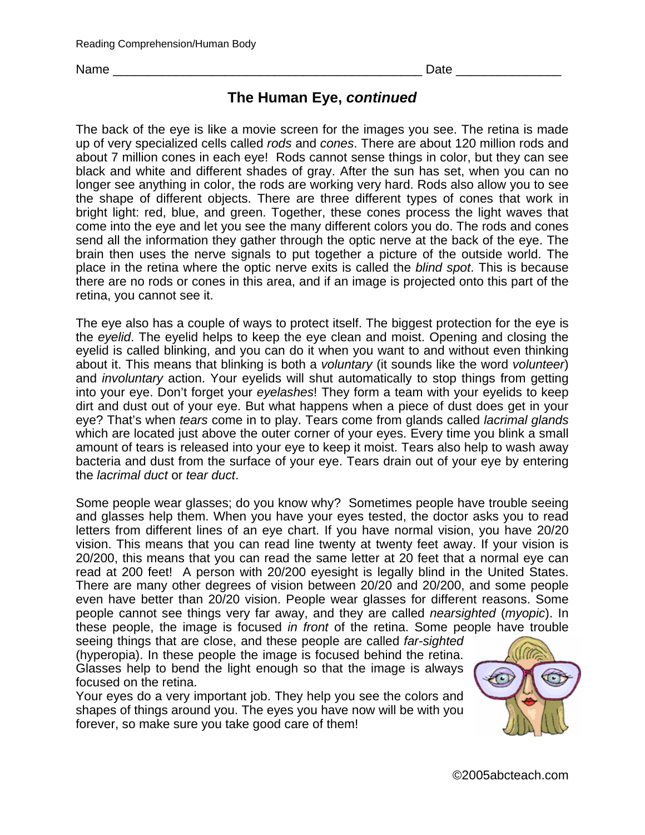Name \_\_\_\_\_\_\_\_\_\_\_\_\_\_\_\_\_\_\_\_\_\_\_\_\_\_\_\_\_\_\_\_\_\_\_\_\_\_\_\_\_\_\_\_ Date \_\_\_\_\_\_\_\_\_\_\_\_\_\_\_

## **The Human Eye,** *continued*

The back of the eye is like a movie screen for the images you see. The retina is made up of very specialized cells called *rods* and *cones*. There are about 120 million rods and about 7 million cones in each eye! Rods cannot sense things in color, but they can see black and white and different shades of gray. After the sun has set, when you can no longer see anything in color, the rods are working very hard. Rods also allow you to see the shape of different objects. There are three different types of cones that work in bright light: red, blue, and green. Together, these cones process the light waves that come into the eye and let you see the many different colors you do. The rods and cones send all the information they gather through the optic nerve at the back of the eye. The brain then uses the nerve signals to put together a picture of the outside world. The place in the retina where the optic nerve exits is called the *blind spot*. This is because there are no rods or cones in this area, and if an image is projected onto this part of the retina, you cannot see it.

The eye also has a couple of ways to protect itself. The biggest protection for the eye is the *eyelid*. The eyelid helps to keep the eye clean and moist. Opening and closing the eyelid is called blinking, and you can do it when you want to and without even thinking about it. This means that blinking is both a *voluntary* (it sounds like the word *volunteer*) and *involuntary* action. Your eyelids will shut automatically to stop things from getting into your eye. Don't forget your *eyelashes*! They form a team with your eyelids to keep dirt and dust out of your eye. But what happens when a piece of dust does get in your eye? That's when *tears* come in to play. Tears come from glands called *lacrimal glands* which are located just above the outer corner of your eyes. Every time you blink a small amount of tears is released into your eye to keep it moist. Tears also help to wash away bacteria and dust from the surface of your eye. Tears drain out of your eye by entering the *lacrimal duct* or *tear duct*.

Some people wear glasses; do you know why? Sometimes people have trouble seeing and glasses help them. When you have your eyes tested, the doctor asks you to read letters from different lines of an eye chart. If you have normal vision, you have 20/20 vision. This means that you can read line twenty at twenty feet away. If your vision is 20/200, this means that you can read the same letter at 20 feet that a normal eye can read at 200 feet! A person with 20/200 eyesight is legally blind in the United States. There are many other degrees of vision between 20/20 and 20/200, and some people even have better than 20/20 vision. People wear glasses for different reasons. Some people cannot see things very far away, and they are called *nearsighted* (*myopic*). In these people, the image is focused *in front* of the retina. Some people have trouble

seeing things that are close, and these people are called *far-sighted* (hyperopia). In these people the image is focused behind the retina. Glasses help to bend the light enough so that the image is always focused on the retina.

Your eyes do a very important job. They help you see the colors and shapes of things around you. The eyes you have now will be with you forever, so make sure you take good care of them!

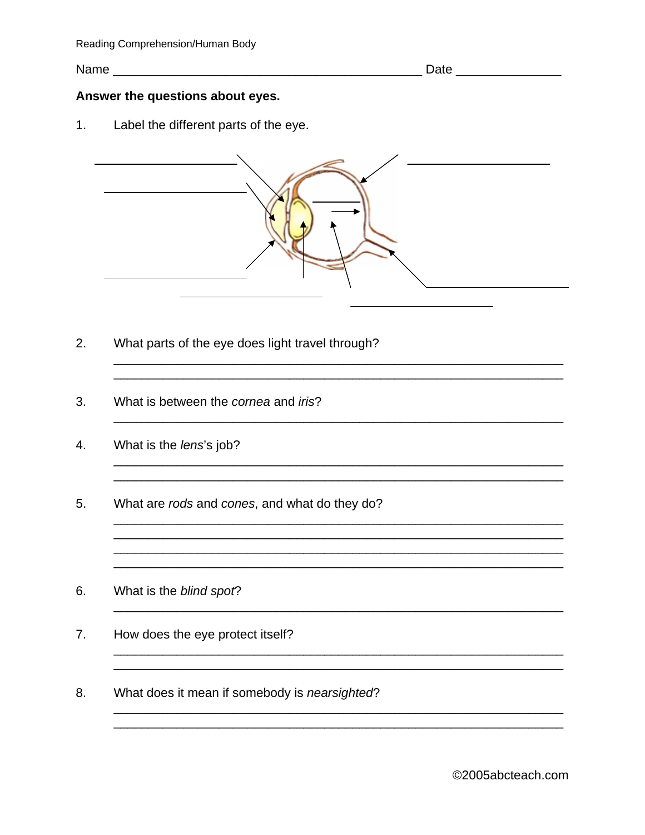## Answer the questions about eyes.

Label the different parts of the eye.  $1.$ 



<u> 1989 - An Dùbhlachd an Dùbhlachd ann an Dùbhlachd ann an Dùbhlachd ann an Dùbhlachd ann an Dùbhlachd ann an Dù</u>

<u> 1989 - Jan James James James James James James James James James James James James James James James James J</u> <u> 2000 - Andrea Andrea Andrea Andrea Andrea Andrea Andrea Andrea Andrea Andrea Andrea Andrea Andrea Andrea An</u>

<u> 1989 - Johann Stoff, amerikansk politiker (d. 1989)</u>

- $2.$ What parts of the eye does light travel through?
- 3. What is between the cornea and iris?
- 4. What is the lens's job?
- 5. What are rods and cones, and what do they do?
- 6. What is the blind spot?
- $7<sub>1</sub>$ How does the eye protect itself?
- 8. What does it mean if somebody is nearsighted?